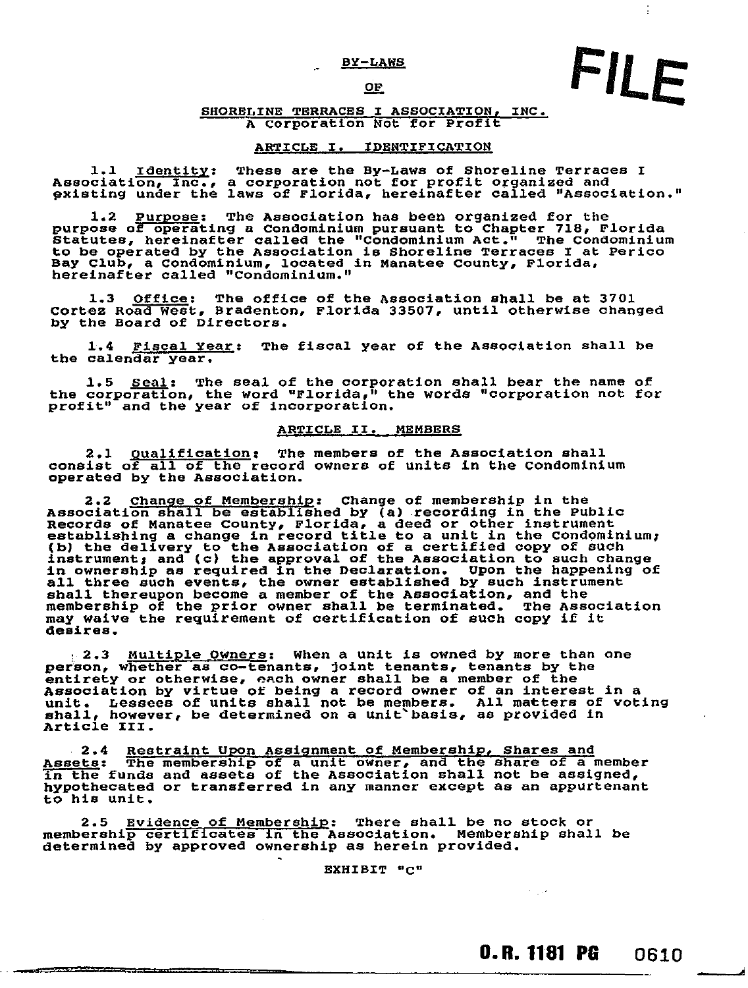#### BY-LAWS

#### OF

#### SHORELINE TERRACES I ASSOCIATION, INC. A Corporation Not for Profit

#### ARTICLE I. IDENTIFICATION

1.1 Identity: These are the By-Laws of Shoreline Terraces I Association, Inc., a corporation not for profit organized and pxisting under the laws of Florida, hereinafter called "Association."

1.2 Purpose: The Association has been organized for the purpose of operating a Condominium pursuant to Chapter 718, Florida Statutes, hereinafter called the "Condominium Act." The Condominium to be operated by the Association is Shoreline Terraces I at Perico Bay Club, a Condominium, located in Manatee County, Florida, hereinafter called "Condominium."

1.3 Office: The office of the Association shall be at 3701 Cortez Road West, Bradenton, Florida 33507, until otherwise changed by the Board of Directors.

1.4 Fiscal Year: The fiscal year of the Association shall be the calendar year.

1.5 Seal: The seal of the corporation shall bear the name of the corporation, the word "Florida," the words "corporation not for profit" and the year of incorporation.

#### ARTICLE II. MEMBERS

2.1 Qualification: The members of the Association shall consist of all of the record owners of units in the Condominium operated by the Association.

2.2 Change of Membership: Change of membership in the Association shall be established by (a) recording in the Public Records of Manatee County, Florida, a deed or other instrument establishing a change in record title to a unit in the Condominium,<br>(b) the delivery to the Association of a certified copy of such<br>instrument, and (c) the approval of the Association to such change<br>in ownership as require all three such events, the owner established by such instrument shall thereupon become a member of the Association, and the membership of the prior owner shall be terminated. The Association may waive the requirement of certification of such copy if it desires.

**2.3 Multiple Owners: When a unit is owned by more than one** person, whether as co-tenants, joint tenants, tenants by the entirety or otherwise, each owner shall be a member of the Association by virtue or being a record owner of an interest in a unit. Lessees of units shall not be members. All matters of voting<br>shall, however, be determined on a unit basis, as provided in Article III.

2.4 Restraint Upon Assignment of Membership, Shares and Assets: The membership of a unit owner, and the share of a member<br>In the funds and assets of the Association shall not be assigned, hypothecated or transferred in any manner except as an appurtenant to his unit.

2.5 Evidence of Membership: There shall be no stock or membership certificates in the Association. Membership shall be determined by approved ownership as herein provided.

and the contract of the contract of the contract of the contract of the contract of the contract of

EXHIBIT "C"

### **O.R. 1181 PG 0610**

 $\mathcal{F}=\mathcal{F}^{\mathcal{F}}$ 

FILE

÷,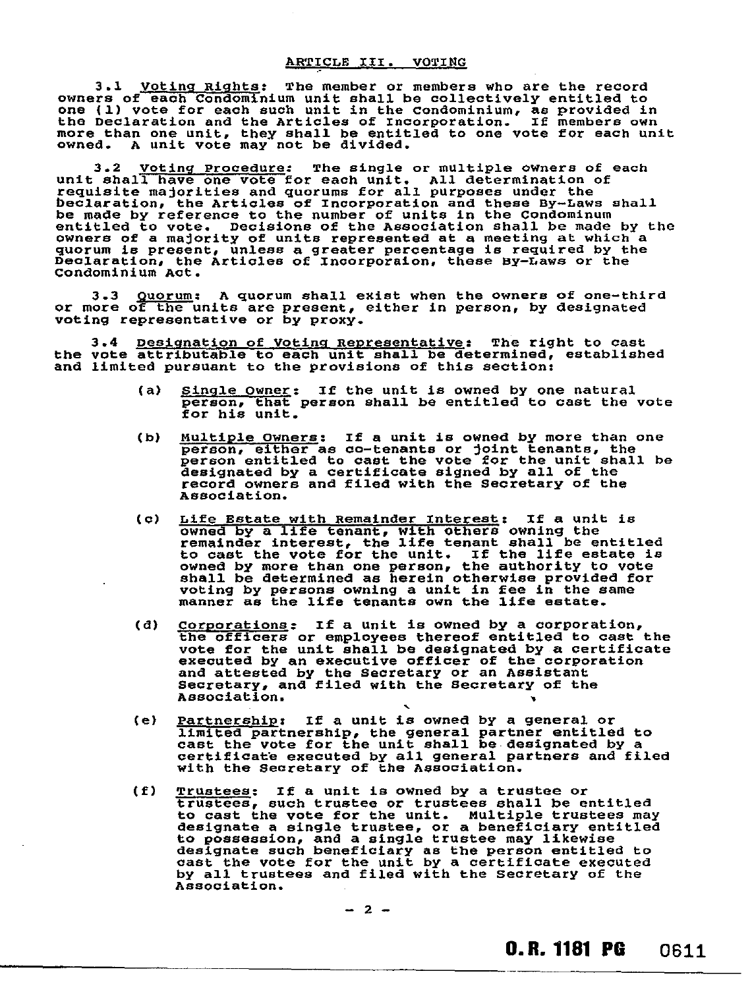3.1 Voting Rights: The member or members who are the record owners of each Condominium unit shall be collectively entitled to one (1) vote for each such unit in the Condominium, as provided in the Declaration and the Articles of incorporation. If members own more than one unit, they shall be entitled to one vote for each unit owned. A unit vote may not be divided.

3.2 Voting Procedure: The single or multiple owners of each unit shall have one vote for each unit. All determination of requisite majorities and quorums for all purposes under the beclaration, the Articles of Incorporation and these By-Laws shall be made by reference to the number of units in the Condominum entitled to vote. Decisions of the Association shall be made by the owners of a majority of units represented at a meeting at which a quorum is present, unless a greater percentage is required by the Declaration, the Articles of Incorporaion, these By-Laws or the Condominium Act.

3.3 Quorum: A quorum shall exist when the owners of one-third or more of the units are present, either in person, by designated voting representative or by proxy.

3.4 Designation of Voting Representative: The right to cast the vote attributable to each unit shall be determined, established and limited pursuant to the provisions of this section:

- (a) Single Owner: If the unit is owned by one natural person, that person shall be entitled to cast the vote for his unit.
- (b) Multiple owners: If a unit is owned by more than one person, either as co-tenants or joint tenants, the person entitled to cast the vote for the unit shall be designated by a certificate signed by all of the record owners and filed with the Secretary of the Association.
- (c) Life Estate with Remainder Interest: If a unit is owned by a life tenant, with others owning the remainder interest, the life tenant shall be entitled to cast the vote for the unit. If the life estate is owned by more than one person, the authority to vote shall be determined as herein otherwise provided for voting by persons owning a unit in fee in the same manner as the life tenants own the life estate.
- (d) Corporations: If a unit is owned by a corporation, the officers or employees thereof entitled to cast the vote for the unit shall be designated by a certificate executed by an executive officer of the corporation and attested by the Secretary or an Assistant Secretary, and filed with the Secretary of the Association.
- (e) Partnership: If a unit is owned by a general or limited partnership, the general partner entitled to cast the vote for the unit shall be designated by a certificate executed by all general partners and filed with the Secretary of the Association.
- (f) Trustees: If a unit is owned by a trustee or trustees, such trustee or trustees shall be entitled to cast the vote for the unit. Multiple trustees may designate a single trustee, or a beneficiary entitled to possession, and a single trustee may likewise designate such beneficiary as the person entitled to cast the vote for the unit by a certificate executed by all trustees and filed with the secretary of the Association.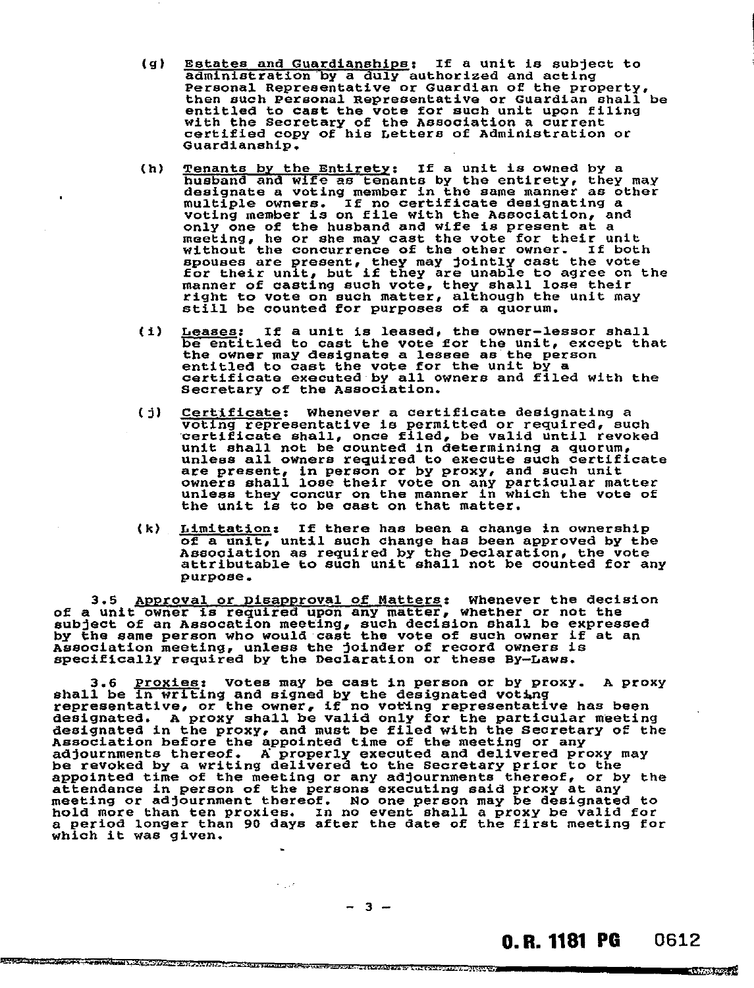- (g) Estates and Guardianships: If a unit is subject to administration by a duly authorized and acting Personal Representative or Guardian of the property, then such Personal Representative or Guardian shall be entitled to cast the vote for such unit upon filing with the Secretary of the Association a current certified copy of his Letters of Administration or Guardianship.
- (h) Tenants by the Entirety: If a unit is owned by a husband and wife as tenants by the entirety, they may designate a voting member in the same manner as other multiple owners. If no certificate designating a voting member is on file with the Association, and only one of the husband and wife is present at a meeting, he or she may cast the vote for their unit without the concurrence of the other owner. If both spouses are present, they may jointly cast the vote for their unit, but if they are unable to agree on the manner of casting such vote, they shall lose their right to vote on such matter, although the unit may still be counted for purposes of a quorum.
- (i) Leases: If a unit is leased, the owner—lessor shall be entitled to cast the vote for the unit, except that the owner may designate a lessee as the person entitled to cast the vote for the unit by a certificate executed by all owners and filed with the Secretary of the Association.
- (j) Certificate: Whenever a certificate designating a voting representative is permitted or required, such certificate shall, once filed, be valid until revoked unit shall not be counted in determining a quorum, Unless all owners required to execute such certificate are present, in person or by proxy, and such unit owners shall lose their vote on any particular matter unless they concur on the manner in which the vote of the unit is to be cast on that matter.
- (k) Limitation: If there has been a change in ownership of a unit, until such change has been approved by the Association as required by the Declaration, the vote attributable to such unit shall not be counted for any purpose.

3.5 Approval or Disapproval of Matters: Whenever the decision of a unit owner is required upon any matter, whether or not the subject of an Assocation meeting, such decision shall be expressed by the same person who would cast the vote of such owner if at an Association meeting, unless the joinder of record owners is specifically required by the Declaration or these By—Laws.

3.6 <u>Proxies</u>: Votes may be cast in person or by proxy. A proxy shall be in writing and signed by the designated voting representative, or the owner, if no voting representative has been designated. A proxy shall be valid only for the particular meeting designated in the proxy, and must be filed with the Secretary of the Association before the appointed time of the meeting or any adjournments thereof. A properly executed and delivered proxy may be revoked by a writing delivered to the Secretary prior to the appointed time of the meeting or any adjournments thereof, or by the attendance in person of the persons executing said proxy at any meeting or adjournment thereof. No one person may be designated to hold more than ten proxies. In no event shall a proxy be valid for a period longer than 90 days after the date of the first meeting for which it was given.

# 0. R. 1181 PG 0612

 $-1.3793(0.98.1)$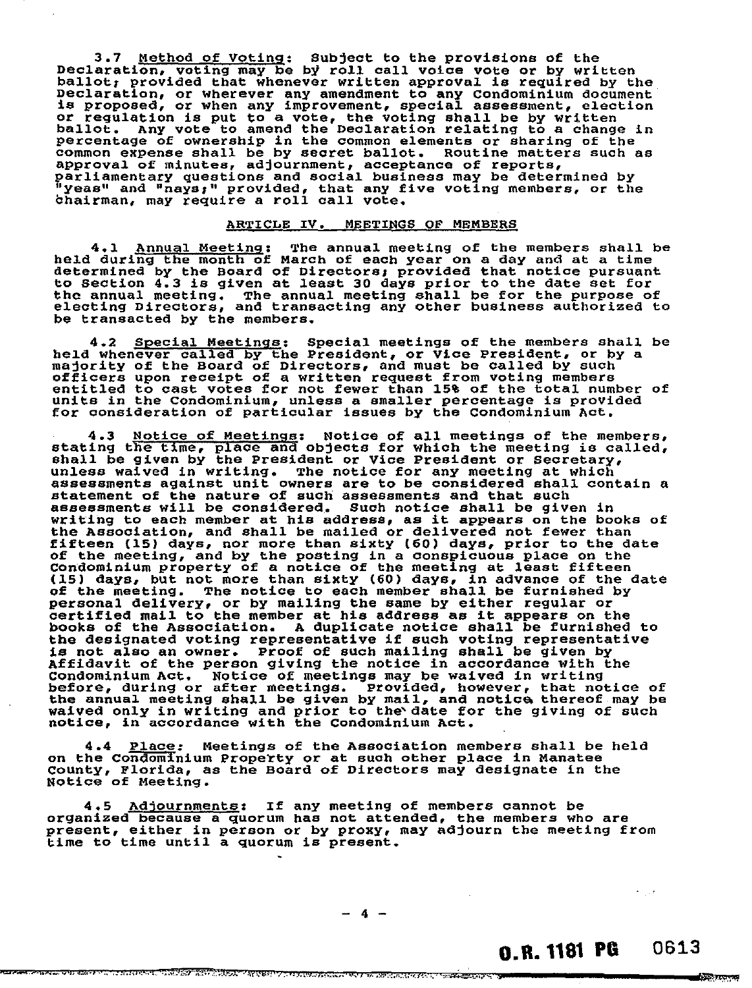3.7 Method of Voting: Subject to the provisions of the Declaration, voting may be by roll call voice vote or by written ballot; provided that whenever written approval is required by the Declaration, or wherever any amendment to any Condominium document is proposed, or when any improvement, special assessment, election or regulation is put to a vote, the voting shall be by written ballot. Any vote to amend the Declaration relating to a change in percentage of ownership in the common elements or sharing of the common expense shall be by secret ballot. Routine matters such as approval of minutes, adjournment, acceptance of reports, parliamentary questions and social business may be determined by "yeas" and "nays;" provided, that any five voting members, or the Chairman, may require a roll call vote.

#### ARTICLE IV. MEETINGS OF MEMBERS

4.1 Annual Meeting: The annual meeting of the members shall be held during the month of March of each year on a day and at a time determined by the Board of Directors: provided that notice pursuant to Section 4.3 is given at least 30 days prior to the date set for the annual meeting. The annual meeting shall be for the purpose of electing Directors, and transacting any other business authorized to be transacted by the members.

4.2 Special Meetings: Special meetings of the members shall be held whenever called by the President, or Vice President, or by a majority of the Board of Directors, and must be called by such officers upon receipt of a written request from voting members entitled to cast votes for not fewer than 158 of the total number of units in the condominium, unless a smaller percentage is provided for consideration of particular issues by the Condominium Act.

4.3 Notice of Meetings: Notice of all meetings of the members, stating the time, place and objects for which the meeting is called, shall be given by the President or Vice President or Secretary, unless waived in writing. The notice for any meeting at which assessments against unit owners are to be considered shall contain a statement of the nature of such assessments and that such assessments will be considered. Such notice shall be given in writing to each member at his address, as it appears on the books of the Association, and shall be mailed or delivered not fewer than fifteen (15) days, nor more than sixty (60) days, prior to the date of the meeting, and by the posting in a conspicuous place on the Condominium property of a notice of the meeting at least fifteen (15) days, but not more than sixty (60) days, in advance of the date of the meeting. The notice to each member shall be furnished by personal delivery, or by mailing the same by either regular or certified mail to the member at his address as it appears on the books of the Association. A duplicate notice shall be furnished to the designated voting representative if such voting representative is not also an owner. Proof of such mailing shall be given by Affidavit of the person giving the notice in accordance with the Condominium Act. Notice of meetings may be waived in writing before, during or after meetings. Provided, however, that notice of the annual meeting shall be given by mail, and notice thereof may be waived only in writing and prior to the date for the giving of such notice, in accordance with the Condominium Act.

4.4 Place: Meetings of the Association members shall be held on the Condominium Property or at such other place in Manatee County, Florida, as the Board of Directors may designate in the Notice of Meeting.

4.5 Adjournments: If any meeting of members cannot be organized because a quorum has not attended, the members who are present, either in person or by proxy, may adjourn the meeting from time to time until a quorum is present.

<del>maaton meerit istiininit Tilliso kilin kun kuun eesine astustatti noo alamiitti ee aatta meerit ee ka</del>

# 0.R. 1181 PG 0613

Killa P

රාම සංශ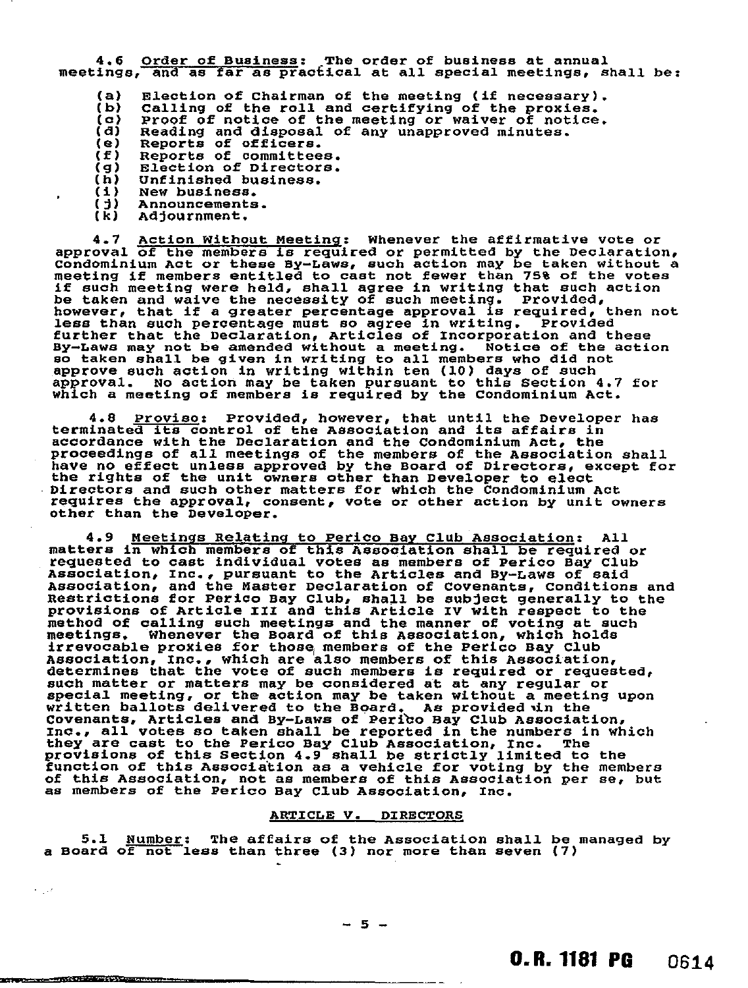4.6 Order of Business: The order of business at annual meetings, and as far as practical at all special meetings, shall be:

(a)  $\overline{b}$ (c) (d) (e) (f) (9) (h) (i)  $($  $t)$ Election of Chairman of the meeting (if necessary). Calling of the roll and certifying of the proxies. Proof of notice of the meeting or waiver of notice. Reading and disposal of any unapproved minutes. Reports of officers. Reports of committees. Election of Directors. Unfinished business. New business. Announcements.

(k) Adjournment.

 $\epsilon_{\rm{max}}$ 

**The Committee of the Committee of the Committee of the Committee of the Committee of the Committee of the Committee** 

4.7 Action Without Meeting: Whenever the affirmative vote or approval of the members is required or permitted by the Declaration, Condominium Act or these By-Laws, such action may be taken without a meeting if members entitled to cast not fewer than 75% of the votes if such meeting were held, shall agree in writing that such action be taken and waive the necessity of such meeting. Provided, however, that if a greater percentage approval is required, then not less than such percentage must so agree in writing. Provided further that the Declaration, Articles of Incorporation and these By-Laws may not be amended without a meeting. Notice of the action so taken shall be given in writing to all members who did not approve such action in writing within ten (10) days of such approval. No action may be taken pursuant to this Section 4.7 for which a meeting of members is required by the Condominium Act.

4.8 <u>Proviso</u>: Provided, however, that until the Developer has terminated its control of the Association and its affairs in accordance with the Declaration and the Condominium Act, the proceedings of all meetings of the members of the Association shall have no effect unless approved by the Board of Directors, except for the rights of the unit owners other than Developer to elect Directors and such other matters for which the Condominium Act requires the approval, consent, vote or other action by unit owners other than the Developer.

4.9 Meetings Relating to Perico Bay Club Association: All matters in which members of this Association shall be required or requested to cast individual votes as members of Perico Bay Club Association, inc., pursuant to the Articles and By-Laws of said Association, and the Master Declaration of Covenants, Conditions and Restrictions for Perico Bay Club, shall be subject generally to the provisions of Article III and this Article IV with respect to the method of calling such meetings and the manner of voting at such meetings. Whenever the Board of this Association, which holds irrevocable proxies for those members of the Perico Bay Club Association, Inc., which are also members of this Association, determines that the vote of such members is required or requested, such matter or matters may be considered at at any regular or special meeting, or the action may be taken without a meeting upon written ballots delivered to the Board. As provided in the Covenants, Articles and By-Laws of Peribo Bay Club Association, Inc., all votes so taken shall be reported in the numbers in which they are cast to the Perico Bay Club Association, Inc. The provisions of this Section 4.9 shall be strictly limited to the function of this Association as a vehicle for voting by the members of this Association, not as members of this Association per se, but as members of the Perico Bay Club Association, Inc.

#### ARTICLE V. DIRECTORS

5.1 Number: The affairs of the Association shall be managed by a Board of not less than three (3) nor mote than seven (7)

 $-5 -$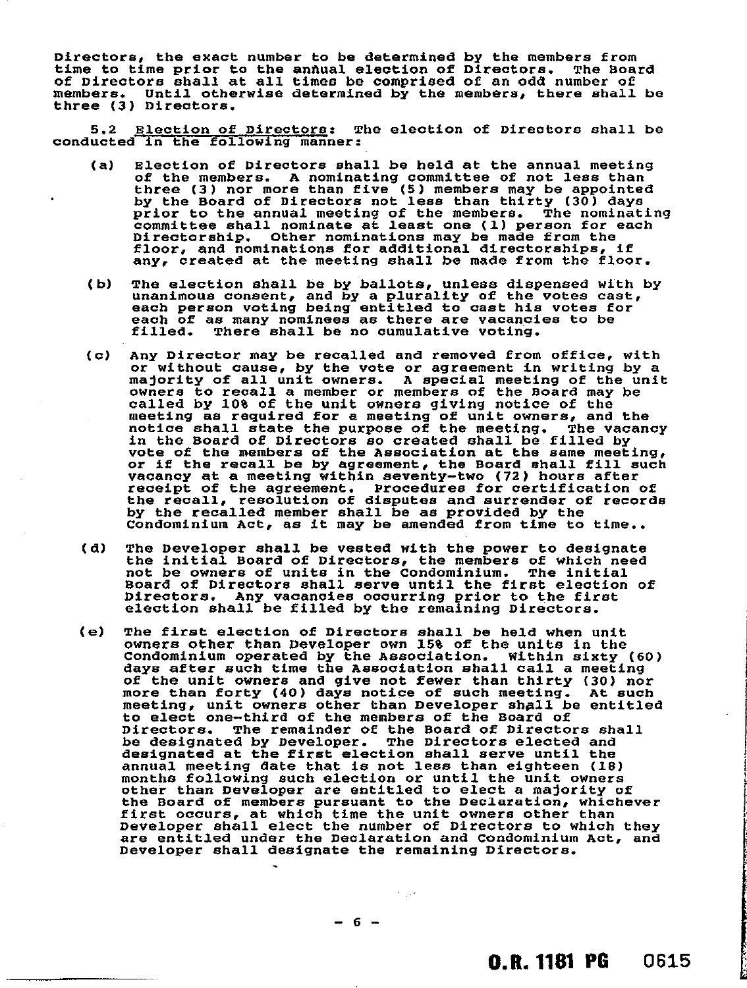Directors, the exact number to be determined by the members from<br>time to time prior to the annual election of Directors. The Board time to time prior to the annual election of Directors. The Board of Directors shall at all times be comprised of an odd number of members. Until otherwise determined by the members, there shall be three (3) Directors.

5.2 Election of Directors: The election of Directors shall be conducted in the following manner:

- (a) Election of Directors shall be held at the annual meeting of the members. A nominating committee of not less than three (3) nor more than five (5) members may be appointed by the Board of Directors not less than thirty (30) days prior to the annual meeting of the members. The nominating committee shall nominate at least one (1) person for each Directorship. Other nominations may be made from the floor, and nominations for additional directorships, if any, created at the meeting shall be made from the floor.
- (b) The election shall be by ballots, unless dispensed with by unanimous consent, and by a plurality of the votes cast, each person voting being entitled to cast his votes for each of as many nominees as there are vacancies to be filled. There shall be no cumulative voting.
- (c) Any Director may be recalled and removed from office, with or without cause, by the vote or agreement in writing by a majority of all unit owners. A special meeting of the unit owners to recall a member or members of the Board may be called by 10% of the unit owners giving notice of the meeting as required for a meeting of unit owners, and the notice shall state the purpose of the meeting. The vacancy in the Board of Directors so created shall be filled by vote of the members of the Association at the same meeting, or if the recall be by agreement, the Board shall fill such vacancy at a meeting within seventy-two (72) hours after receipt of the agreement. Procedures for certification of the recall, resolution of disputes and surrender of records by the recalled member shall be as provided by the Condominium Act, as it may be amended from time to time..
- (d) The Developer shall be vested with the power to designate the initial Board of Directors, the members of which need not be owners of units in the Condominium. The initial Board of Directors shall serve until the first election of Directors. Any vacancies occurring prior to the first election shall be filled by the remaining Directors.
- (e) The first election of Directors shall be held when unit owners other than Developer own 15% of the units in the Condominium operated by the Association. Within sixty (60) days after such time the Association shall call a meeting of the unit owners and give not fewer than thirty (30) nor more than forty (40) days notice of such meeting. At such meeting, unit owners other than Developer shall be entitled to elect one-third of the members of the Board of Directors. The remainder of the Board of Directors shall be designated by Developer. The Directors elected and designated at the first election shall serve until the annual meeting date that is not less than eighteen (18) months following such election or until the unit owners other than Developer are entitled to elect a majority of the Board of members pursuant to the Declaration, whichever first occurs, at which time the unit owners other than Developer shall elect the number of Directors to which they are entitled under the Declaration and Condominium Act, and Developer shall designate the remaining Directors.

 $\sigma_{\rm{max}}$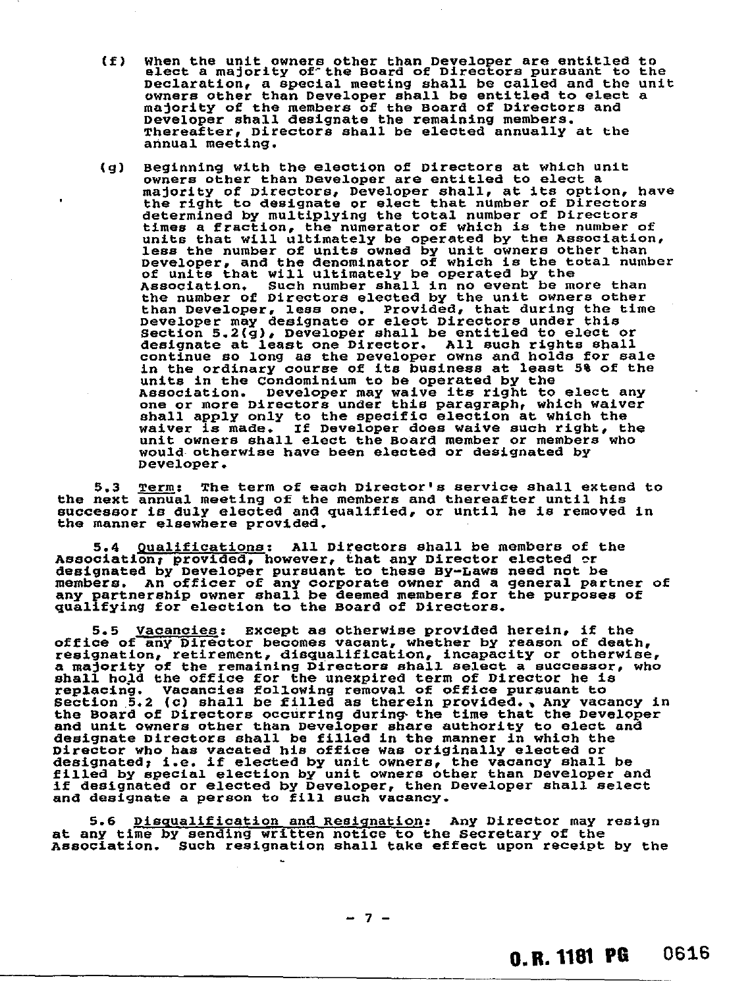- (f) When the unit owners other than Developer are entitled to elect a majority of- the Board of Directors pursuant to the Declaration, a special meeting shall be called and the unit owners other than Developer shall be entitled to elect a majority of the members of the Board of Directors and Developer shall designate the remaining members. Thereafter, Directors shall be elected annually at the annual meeting.
- (g) Beginning with the election of Directors at which unit owners other than Developer are entitled to elect a majority of Directors, Developer shall, at its option, have the right to designate or elect that number of Directors determined by multiplying the total number of Directors times a fraction, the numerator of which is the number of units that will ultimately be operated by the Association, less the number of units owned by unit owners other than Developer, and the denominator of which is the total number of units that will ultimately be operated by the<br>Association. Such number shall in no event be m Such number shall in no event be more than the number of Directors elected by the unit owners other than Developer, less one. Provided, that during the time Developer may designate or elect Directors under this Section 5.2(g), Developer shall be entitled to elect or designate at least one Director. All such rights shall continue so long as the Developer owns and holds for sale in the ordinary course of its business at least 5% of the units in the Condominium to be operated by the Association. Developer may waive its right to elect any one or more Directors under this paragraph, which waiver shall apply only to the specific election at which the waiver is made. If Developer does waive such right, the unit owners shall elect the Board member or members who would otherwise have been elected or designated by Developer.

5.3 Term: The term of each Director's service shall extend to the next annual meeting of the members and thereafter until his successor is duly elected and qualified, or until he is removed in the manner elsewhere provided.

5.4 Qualifications: All Directors shall be members of the Association; provided, however, that any Director elected or designated by Developer pursuant to these By-Laws need not be members. An officer of any corporate owner and a general partner of any partnership owner shall be deemed members for the purposes of qualifying for election to the Board of Directors.

5.5 Vacancies: Except as otherwise provided herein, if the office of any Director becomes vacant, whether by reason of death, resignation, retirement, disqualification, incapacity or otherwise, a majority of the remaining Directors shall select a successor, who shall hold the office for the unexpired term of Director he is replacing. Vacancies following removal of office pursuant to Section 5.2 (c) shall be filled as therein provided., Any vacancy in the Board of Directors occurring during the time that the Developer and unit owners other than Developer share authority to elect and designate Directors shall be filled in the manner in which the Director who has vacated his office was originally elected or designated; i.e. if elected by unit owners, the vacancy shall be filled by special election by unit owners other than Developer and if designated or elected by Developer, then Developer shall select and designate a person to fill such vacancy.

5.6 Disqualification and Resignation: Any Director may resign at any time by sending written notice to the Secretary of the Association. Such resignation shall take effect upon receipt by the

 $-7-$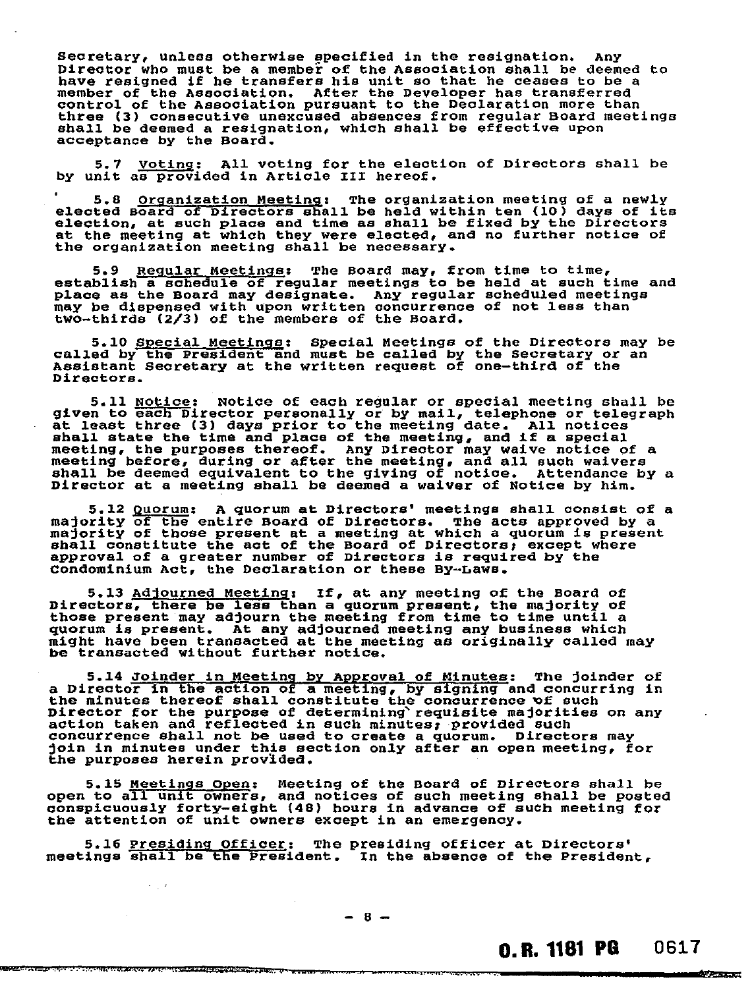Secretary, unless otherwise specified in the resignation. Any Director who must be a member of the Association shall be deemed to have resigned if he transfers his unit so that he ceases to be a member of the Association. After the Developer has transferred control of the Association pursuant to the Declaration more than three (3) consecutive unexcused absences from regular Board meetings shall be deemed a resignation, which shall be effective upon acceptance by the Board.

5.7 Voting: All voting for the election of Directors shall be by unit as provided in Article III hereof.

5.8 Organization Meeting: The organization meeting of a newly elected Board of Directors shall be held within ten (10) days of its election, at such place and time as shall be fixed by the Directors at the meeting at which they were elected, and no further notice of the organization meeting shall be necessary.

5.9 Regular Meetings: The Board may, from time to time, establish a schedule of regular meetings to be held at such time and place as the Board may designate. Any regular scheduled meetings may be dispensed with upon written concurrence of not less than two-thirds (2/3) of the members of the Board.

5.10 Special Meetings: Special Meetings of the Directors may be called by the President and must be called by the Secretary or an Assistant Secretary at the written request of one-third of the Directors.

5.11 Notice: Notice of each regular or special meeting shall be<br>given to each Director personally or by mail, telephone or telegraph<br>at least three (3) days prior to the meeting date. All notices shall state the time and place of the meeting, and if a special meeting, the purposes thereof. Any Director may waive notice of a meeting before, during or after the meeting, and all such waivers shall be deemed equivalent to the giving of notice. Attendance by a Director at a meeting shall be deemed a waiver of Notice by him.

5.12 Quorum: A quorum at Directors' meetings shall consist of a majority of the entire Board of Directors. The acts approved by a majority of those present at a meeting at which a quorum is present shall constitute the act of the Board of Directors: except where approval of a greater number of Directors is required by the Condominium Act, the Declaration or these By-Laws.

5.13 Adjourned Meeting: If, at any meeting of the Board of Directors, there be less than a quorum present, the majority of those present may adjourn the meeting from time to time until a quorum is present. At any adjourned meeting any business which might have been transacted at the meeting as originally called may be transacted without further notice.

5.14 Joinder in Meeting by Approval of Minutes: The joinder of a Director in the action of a meeting, by signing and concurring in the minutes thereof shall constitute the concurrence of such Director for the purpose of determining requisite majorities on any action taken and reflected in such minutes; provided such concurrence shall not be used to create a quorum. Directors may join in minutes under this section only after an open meeting, for the purposes herein provided.

5.15 Meetings open: Meeting of the Board of Directors shall be open to all unit owners, and notices of such meeting shall be posted conspicuously forty-eight (48) hours in advance of such meeting for the attention of unit owners except in an emergency.

5.16 Presiding Officer: The presiding officer at Directors' meetings shall be the President. In the absence of the President,

 $\epsilon_{\rm{eff}}$  ,

**REAL CARD TAT LOCATION ARRE AT A CHARGE AND CONFIDENTIAL TO A LUTTER T** 

कैरोजिक के बाद प्रकार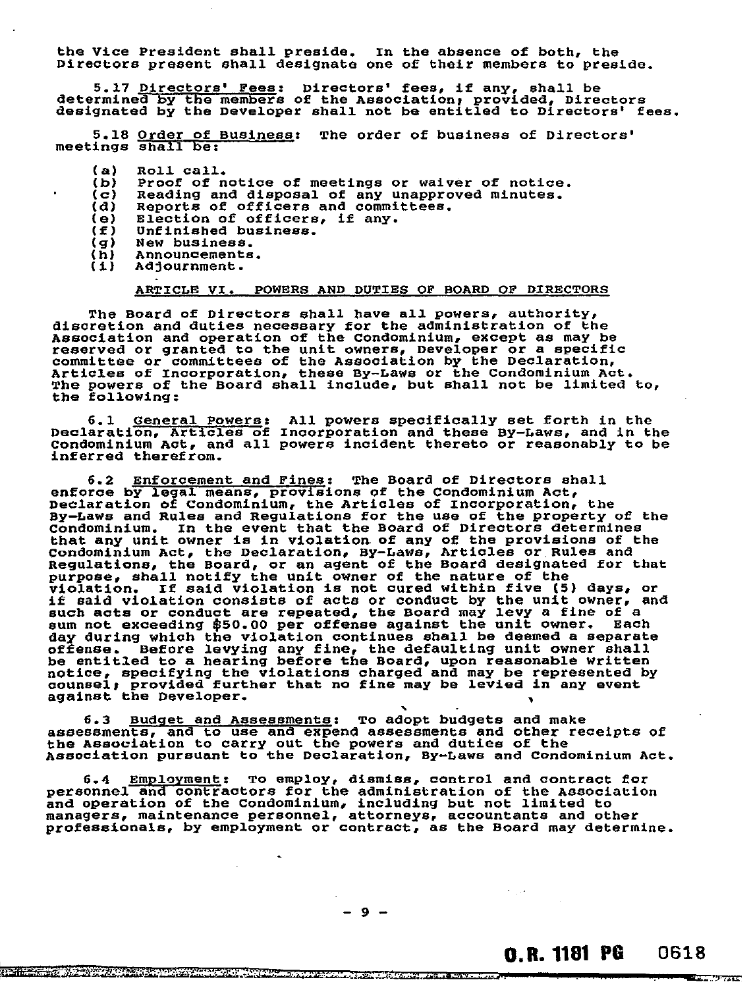the Vice President shall preside . In the absence of both, the Directors present shall designat e one of their members to preside.

5.17 Directors' Fees: Direc determined by the members of the designated by the Developer shal tors' fees, if any, shall be Association; provided, Directors 1 not be entitled to Directors' fees.

5.18 Order of Business: The order of business of Directors' meetings shall be:

- $(a)$ Roll call.
- $(b)$ Proof of notice of meetings or waiver of notice.
- $(c)$ Reading and disposal of any unapproved minutes.
- Reports of officers and committees.  $(d)$
- Election of officers, if any.  $(e)$  $(f)$ Unfinished business.
- 
- New business.  $(q)$ Announcements.
- $(h)$  $(1)$ Adjournment.

#### ARTICLE VI. POWERS AND DUTIES OF BOARD OF DIRECTORS

The Board of Directors shall have all powers, authority, discretion and duties necessary for the administration of the Association and operation of the Condominium, except as may be reserved or granted to the unit owners, Developer or a specific committee or committees of the Association by the Declaration, Articles of Incorporation, these By-Laws or the Condominium Act. The powers of the Board shall include, but shall not be limited to, the following:

6.1 General Powers: All powers specifically set forth in the Declaration, Articles of Incorporation and these By-Laws, and in the Condominium Act, and all powers incident thereto or reasonably to be inferred therefrom.

6.2 Enforcement and Fines: The Board of Directors shall enforce by legal means, provisions of the Condominium Act, Declaration of Condominium, the Articles of Incorporation, the By-Laws and Rules and Regulations for the use of the property of the Condominium. In the event that the Board of Directors determines that any unit owner is in violation of any of the provisions of the Condominium Act, the Declaration, By-Laws, Articles or Rules and Regulations, the Board, or an agent of the Board designated for that purpose, shall notify the unit owner of the nature of the violation. If said violation is not cured within five (5) days, or if said violation consists of acts or conduct by the unit owner, and such acts or conduct are repeated, the Board may levy a fine of a sum not exceeding \$50.00 per offense against the unit owner. Each day during which the violation continues shall be deemed a separate offense. Before levying any fine, the defaulting unit owner shall be entitled to a hearing before the Board, upon reasonable written notice, specifying the violations charged and may be represented by counsel; provided further that no fine may be levied in any event against the Developer. •

6.3 Budget and Assessments: To adopt budgets and make assessments, and to use and expend assessments and other receipts of the Association to carry out the powers and duties of the Association pursuant to the Declaration, By-Laws and Condominium Act.

6.4 Employment: To employ, dismiss, control and contract for personnel and contractors for the administration of the Association and operation of the Condominium, including but not limited to managers, maintenance personnel, attorneys, accountants and other professionals, by employment or contract, as the Board may determine.

v. De Santa de Gassa de Propia de Constante de Santa de Santa de Santa de Calendario de Santa de Santa de Sant<br>Ver libre de Santa de Santa de La Lacera compañas e de Santa de Santa de Santa de Santa de Santa de Santa de S

**Readers** 

فبراد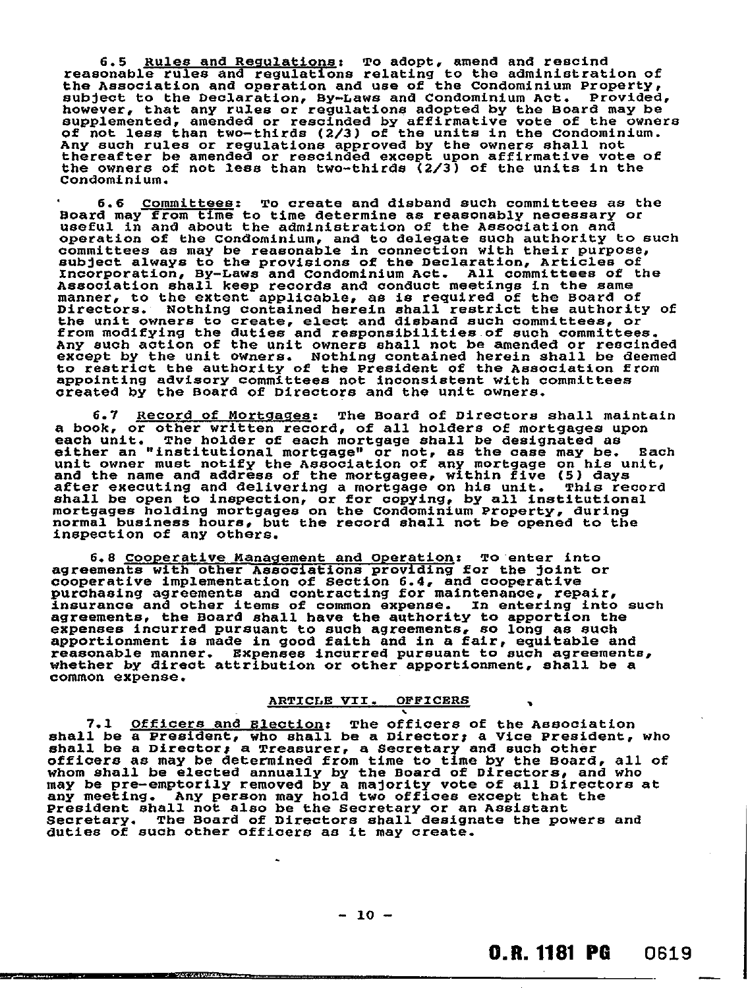6.5 Rules and Regulations: To adopt, amend and rescind reasonable rules and regulations relating to the administration of the Association and operation and use of the Condominium Property, subject to the Declaration, By-Laws and Condominium Act. Provided, however, that any rules or regulations adopted by the Board may be supplemented, amended or rescinded by affirmative vote of the owners of not less than two-thirds (2/3) of the units in the Condominium. Any such rules or regulations approved by the owners shall not thereafter be amended or rescinded except upon affirmative vote of the owners of not less than two-thirds (2/3) of the units in the Condominium.

6.6 Committees: To create and disband such committees as the Board may from time to time determine as reasonably necessary or useful in and about the administration of the Association and operation of the Condominium, and to delegate such authority to such committees as may be reasonable in connection with their purpose, subject always to the provisions of the Declaration, Articles of Incorporation, By-Laws and Condominium Act. All committees of the Association shall keep records and conduct meetings in the same manner, to the extent applicable, as is required of the Board of Directors. Nothing contained herein shall restrict the authority of the unit owners to create, elect and disband such committees, or from modifying the duties and responsibilities of such committees. Any such action of the unit owners shall not be amended or rescinded except by the unit owners. Nothing contained herein shall be deemed to restrict the authority of the President of the Association from appointing advisory committees not inconsistent with committees created by the Board of Directors and the unit owners.

6.7 Record of Mortgages: The Board of Directors shall maintain a book, or other written record, of all holders of mortgages upon each unit. The holder of each mortgage shall be designated as either an "institutional mortgage" or not, as the case may be. Each unit owner must notify the Association of any mortgage on his unit, and the name and address of the mortgagee, within five (5) days after executing and delivering a mortgage on his unit. This record shall be open to inspection, or for copying, by all institutional mortgages holding mortgages on the Condominium Property, during normal business hours, but the record shall not be opened to the inspection of any others.

6.8 Cooperative Management and Operation: To enter into agreements with other Associations providing for the joint or cooperative implementation of Section 6.4, and cooperative purchasing agreements and contracting for maintenance, repair, insurance and other items of common expense. In entering into such agreements, the Board shall have the authority to apportion the expenses incurred pursuant to such agreements, so long as such apportionment is made in good faith and in a fair, equitable and reasonable manner. Expenses incurred pursuant to such agreements, whether by direct attribution or other apportionment, shall be a common expense.

#### ARTICLE VII. OFFICERS

7.1 Officers and Election: The officers of the Association shall be a President, who shall be a Director; a Vice President, who shall be a Director; a Treasurer, a Secretary and such other officers as may be determined from time to time by the Board, all of whom shall be elected annually by the Board of Directors, and who may be pre-emptorily removed by a majority vote of all Directors at any meeting. Any person may hold two offices except that the President shall not also be the Secretary or an Assistant Secretary. The Board of Directors shall designate the powers and duties of such other officers as it may create.

والمتعادد ومحاولها أأتنشأ أبال

waxaan waxaa m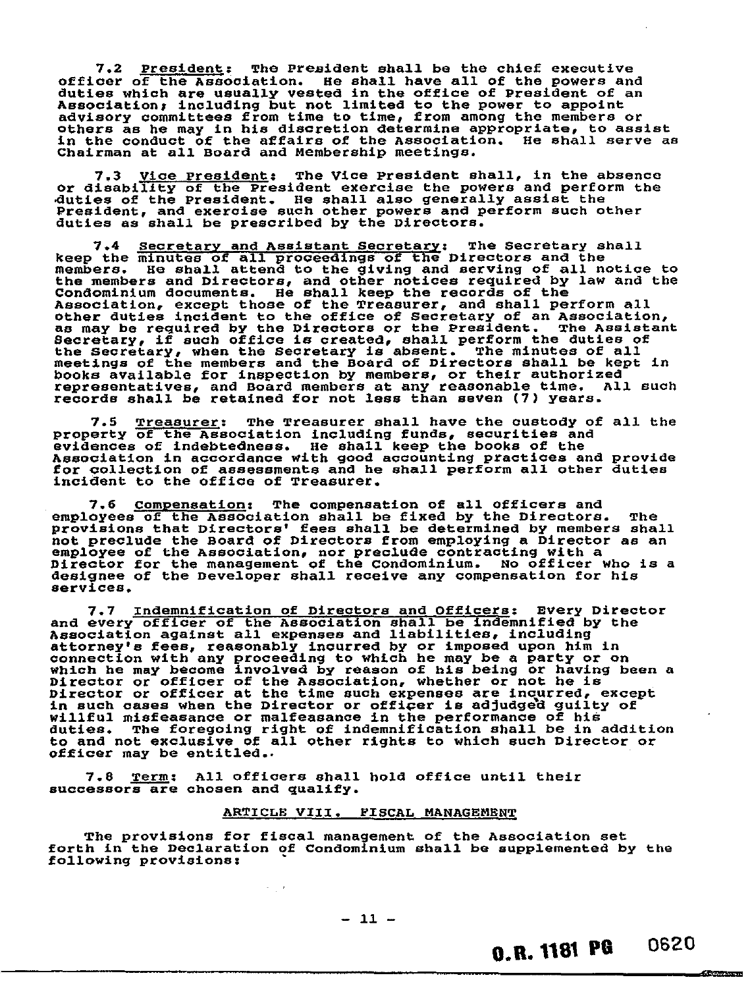7.2 President; The President shall be the chief executive officer of the Association. He shall have all of the powers and duties which are usually vested in the office of President of an Association; including but not limited to the power to appoint advisory committees from time to time, from among the members or others as he may in his discretion determine appropriate, to assist in the conduct of the affairs of the Association. He shall serve as Chairman at all Board and Membership meetings.

7.3 <u>Vice President</u>: The Vice President shall, in the absence or disability of the President exercise the powers and perform the duties of the President. He shall also generally assist the President, and exercise such other powers and perform such other duties as shall be prescribed by the Directors.

7.4 secretary and Assistant Secretary: The Secretary shall keep the minutes of all proceedings of the Directors and the members. He shall attend to the giving and serving of all notice to the members and Directors, and other notices required by law and the Condominium documents. He shall keep the records of the Association, except those of the Treasurer, and shall perform all other duties incident to the office of Secretary of an Association, as may be required by the Directors or the President. The Assistant Secretary, if such office is created, shall perform the duties of the Secretary, when the Secretary is absent. The minutes of all meetings of the members and the Board of Directors shall be kept in books available for inspection by members, or their authorized representatives, and Board members at any reasonable time. All such records shall be retained for not less than seven (7) years.

7.5 Treasurer: The Treasurer shall have the custody of all the Property of the Association including funds, securities and evidences of indebtedness. He shall keep the books of the Association in accordance with good accounting practices and provide for collection of assessments and he shall perform all other duties incident to the office of Treasurer.

7.6 Compensation: The compensation of all officers and employees of the Association shall be fixed by the Directors. The provisions that Directors' fees shall be determined by members shall not preclude the Board of Directors from employing a Director as an employee of the Association, nor preclude contracting with a Director for the management of the Condominium. No officer who is a designee of the Developer shall receive any compensation for his services.

7.7 Indemnification of Directors and Officers: Every Director and every officer of the Association shall be indemnified by the Association against all expenses and liabilities, including attorney's fees, reasonably incurred by or imposed upon him in connection with any proceeding to which he may be a party or on which he may become involved by reason of his being or having been a Director or officer of the Association, whether or not he is Director or officer at the time such expenses are incurred, except in such cases when the Director or officer is adjudged guilty of willful misfeasance or malfeasance in the performance of his duties. The foregoing right of indemnification shall be in addition to and not exclusive of all other rights to which such Director or officer may be entitled..

7.8 Term: All officers shall hold office until their successors are chosen and qualify.

 $\gamma_{\rm eff}$  ,

#### ARTICLE VIII. FISCAL MANAGEMENT

The provisions for fiscal management of the Association set forth in the Declaration of Condominium shall be supplemented by the following provisions:

 $-11 -$ 

0.R. 1181 PG 0620

taiCIMPlas.rcl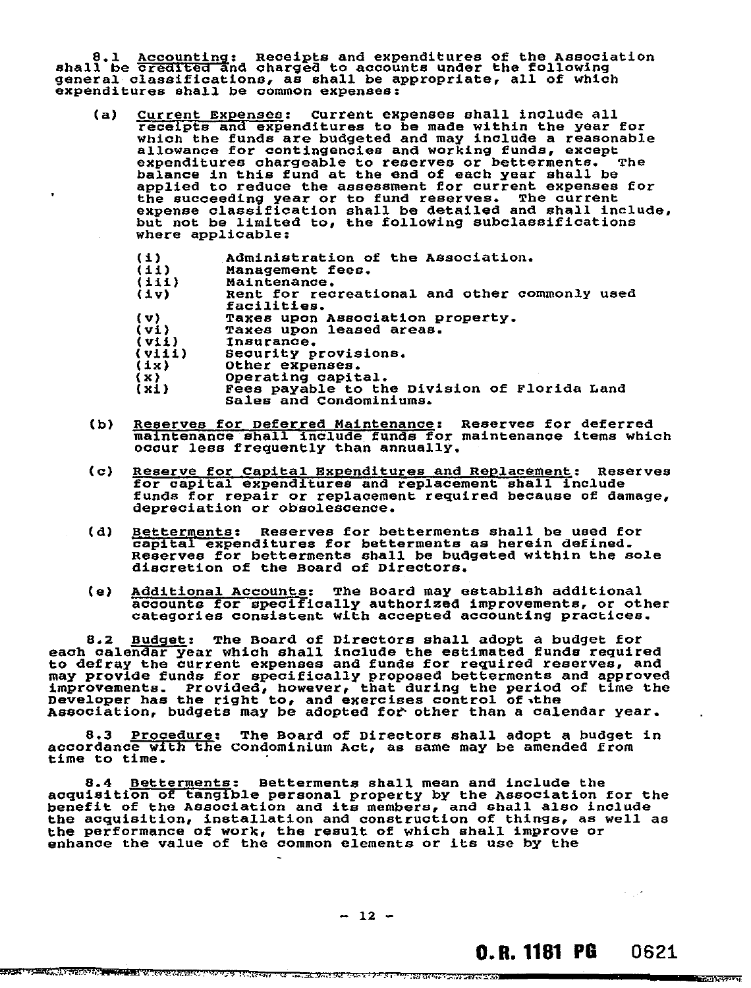8.1 Accounting: Receipts and expenditures of the Association<br>shall be credited and charged to accounts under the following general classifications, as shall be appropriate, all of which expenditures shall be common expenses:

- (a) Current Expenses: Current expenses shall include all receipts and expenditures to be made within the year for which the funds are budgeted and may include a reasonable allowance for contingencies and working funds, except expenditures chargeable to reserves or betterments. The balance in this fund at the end of each year shall be applied to reduce the assessment for current expenses for the succeeding year or to fund reserves. The current expense classification shall be detailed and shall include, but not be limited to, the following subclassifications where applicable:
	- $(1)$ Administration of the Association.
	- $(11)$ Management fees.
	- $(iii)$ Maintenance.
	- $(v1)$ Rent for recreational and other commonly used facilities.
	- Taxes upon Association property.  $(v)$
	- $(vi)$ Taxes upon leased areas.
	- $(vii)$ Insurance.
	- $(viii)$ Security provisions.
	- $(1x)$ Other expenses.
	- $(x)$ Operating capital.
	- Fees payable to the Division of Florida Land  $(x_i)$ Sales and Condominiums.
- (b) Reserves for Deferred Maintenance: Reserves for deferred maintenance shall include funds for maintenance items which occur less frequently than annually.
- (c) Reserve for Capital Expenditures and Replacement: Reserves for capital expenditures and replacement shall include funds for repair or replacement required because of damage, depreciation or obsolescence.
- (d) Betterments: Reserves for betterments shall be used for capital expenditures for betterments as herein defined. Reserves for betterments shall be budgeted within the sole discretion of the Board of Directors.
- (e) Additional Accounts: The Board may establish additional accounts for specifically authorized improvements, or other categories consistent with accepted accounting practices.

8.2 Budget: The Board of Directors shall adopt a budget for each calendar year which shall include the estimated funds required to defray the current expenses and funds for required reserves, and may provide funds for specifically proposed betterments and approved improvements. Provided, however, that during the period of time the Developer has the right to, and exercises control of the Association, budgets may be adopted for other than a calendar year.

8.3 Procedure: The Board of Directors shall adopt a budget in accordance with the Condominium Act, as same may be amended from time to time.

8.4 <u>Betterments</u>: Betterments shall mean and include the acquisition of tangible personal property by the Association for the benefit of the Association and its members, and shall also include the acquisition, installation and construction of things, as well as the performance of work, the result of which shall improve or enhance the value of the common elements or its use by the

 $- 12 -$ 

O.R. 1181 PG 0621

 $\sigma = \frac{1}{2} \sqrt{2}$ 

**ALL AND RESIDENT**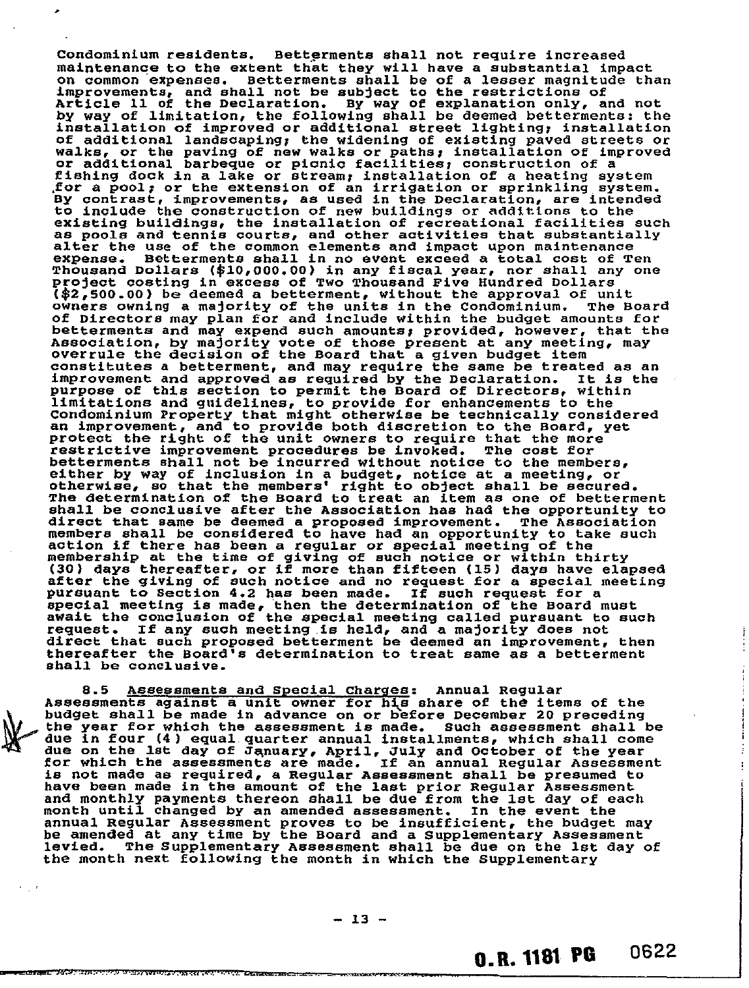Condominium residents. Betterments shall not require increased maintenance to the extent that they will have a substantial impact on common expenses. Betterments shall be of a lesser magnitude than improvements, and shall not be subject to the restrictions of Article 11 of the Declaration. By way of explanation only, and not by way of limitation, the following shall be deemed betterments: the installation of improved or additional street lighting; installation of additional landscaping; the widening of existing paved streets or walks, or the paving of new walks or paths; installation of improved or additional barbeque or picnic facilities; construction of a fishing dock in a lake or stream; installation of a heating system ,for a pool; or the extension of an irrigation or sprinkling, system. By contrast, improvements, as used in the Declaration, are intended to include the construction of new buildings or additions to the existing buildings, the installation of recreational facilities such as pools and tennis courts, and other activities that substantially alter the use of the common elements and impact upon maintenance expense. Betterments shall in no event exceed a total cost of Ten Thousand Dollars (\$10,000.00) in any fiscal year, nor shall any one project costing in excess of Two Thousand Five Hundred Dollars (\$2,500.00) be deemed a betterment, without the approval of unit<br>owners owning a majority of the units in the Condominium. The Board owners owning a majority of the units in the Condominium. of Directors may plan for and include within the budget amounts for betterments and may expend such amounts; provided, however, that the Association, by majority vote of those present at any meeting, may overrule the decision of the Board that a given budget item constitutes a betterment, and may require the same be treated as an improvement and approved as required by the Declaration. It is the purpose of this section to permit the Board of Directors, within limitations and guidelines, to provide for enhancements to the Condominium Property that might otherwise be technically considered an improvement, and to provide both discretion to the Board, yet protect the right of the unit owners to require that the more restrictive improvement procedures be invoked. The cost for betterments shall not be incurred without notice to the members, either by way of inclusion in a budget, notice at a meeting, or otherwise, so that the members' right to object shall be secured. The determination of the Board to treat an item as one of betterment shall be conclusive after the Association has had the opportunity to direct that same be deemed a proposed improvement. The Association members shall be considered to have had an opportunity to take such action if there has been a regular or special meeting of the membership at the time of giving of such notice or within thirty (30) days thereafter, or if more than fifteen (15) days have elapsed after the giving of such notice and no request for a special meeting pursuant to Section 4.2 has been made. If such request for a special meeting is made, then the determination of the Board must await the conclusion of the special meeting called pursuant to such request. If any such meeting is held, and a majority does not direct that such proposed betterment be deemed an improvement, then thereafter the Board's determination to treat same as a betterment shall be conclusive.

8.5 Assessments and Special Charges: Annual Regular Assessments against a unit owner for his share of the items of the budget shall be made in advance on or before December 20 preceding the year for which the assessment is made. Such assessment shall be due in four (4) equal quarter annual installments, which shall come due on the 1st day of January, April, July and October of the year for which the assessments are made. If an annual Regular Assessment is not made as required, a Regular Assessment shall be presumed to have been made in the amount of the last prior Regular Assessment and monthly payments thereon shall be due from the lst day of each month until changed by an amended assessment. In the event the annual Regular Assessment proves to be insufficient, the budget may be amended at any time by the Board and a Supplementary Assessment levied. The Supplementary Assessment shall be due on the 1st day of the month next following the month in which the Supplementary

an the complete of the contract of the contract of the contract of the contract of the contract of the contract of the contract of the contract of the contract of the contract of the contract of the contract of the contrac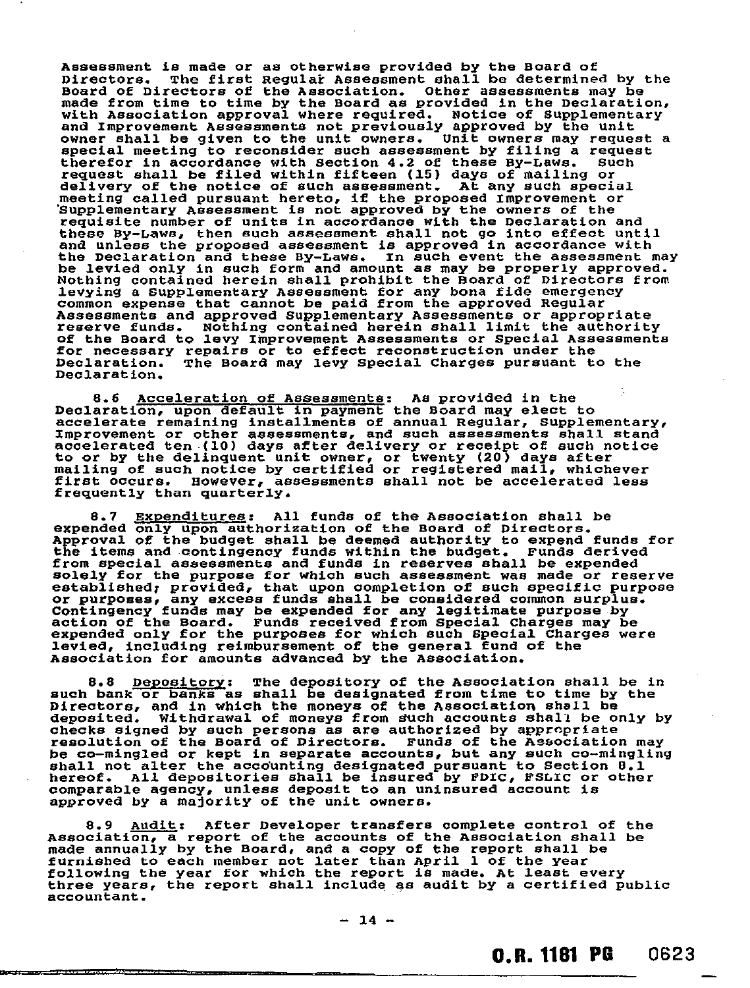Assessment is made or as otherwise provided by the Board of Directors. The first Regular Assessment shall be determined by the Board of Directors of the Association. Other assessments may be made from time to time by the Hoard as provided in the Declaration, with Association approval where required. Notice of Supplementary and Improvement Assessments not previously approved by the unit owner shall be given to the unit owners. Unit owners may request a special meeting to reconsider such assessment by filing a request therefor in accordance with section 4.2 of these By-Laws. Such request shall be filed within fifteen (15) days of mailing or delivery of the notice of such assessment. At any such special meeting called pursuant hereto, if the proposed Improvement or 'Supplementary Assessment is not approved by the owners of the requisite number of units in accordance with the Declaration and these By-Laws, then such assessment shall not go into effect until and unless the proposed assessment is approved in accordance with the Declaration and these By-Laws. In such event the assessment may be levied only in such form and amount as may be properly approved. Nothing contained herein shall prohibit the Hoard of Directors from levying a Supplementary Assessment for any bona fide emergency common expense that cannot be paid from the approved Regular Assessments and approved Supplementary Assessments or appropriate reserve funds. Nothing contained herein shall limit the authority of the Board to levy Improvement Assessments or Special Assessments for necessary repairs or to effect reconstruction under the Declaration. The Board may levy Special Charges pursuant to the Declaration.

8.6 Acceleration of Assessments: As provided in the Declaration, upon default in payment the Board may elect to accelerate remaining installments of annual Regular, Supplementary, Improvement or other assessments, and such assessments shall stand accelerated ten (10) days after delivery or receipt of such notice to or by the delinquent unit owner, or twenty (20) days after mailing of such notice by certified or registered mail, whichever first occurs. However, assessments shall not be accelerated less frequently than quarterly.

8.7 Expenditures: All funds of the Association shall be expended only upon authorization of the Board of Directors. Approval of the budget shall be deemed authority to expend funds for the items and contingency funds within the budget. Funds derived from special assessments and funds in reserves shall be expended solely for the purpose for which such assessment was made or reserve established: provided, that upon completion of such specific purpose or purposes, any excess funds shall be considered common surplus. Contingency funds may be expended for any legitimate purpose by action of the Board. Funds received from Special Charges may be expended only for the purposes for which such Special Charges were levied, including reimbursement of the general fund of the Association for amounts advanced by the Association.

8.8 Depository: The depository of the Association shall be in such bank or banks as shall be designated from time to time by the Directors, and in which the moneys of the Association shall be deposited. Withdrawal of moneys from such accounts shall be only by checks signed by such persons as are authorized by appropriate resolution of the Board of Directors. Funds of the Association may be co-mingled or kept in separate accounts, but any such co-mingling shall not alter the accounting designated pursuant to Section 8.1 hereof. All depositories shall be insured by FDIC, FSLIC or other comparable agency, unless deposit to an uninsured account is approved by a majority of the unit owners.

8.9 Audit: After Developer transfers complete control of the Association, a report of the accounts of the Association shall be made annually by the Board, and a copy of the report shall be furnished to each member not later than April 1 of the year following the year for which the report is made. At least every three years, the report shall include as audit by a certified public accountant.

**O.R. 1181 PG 0623**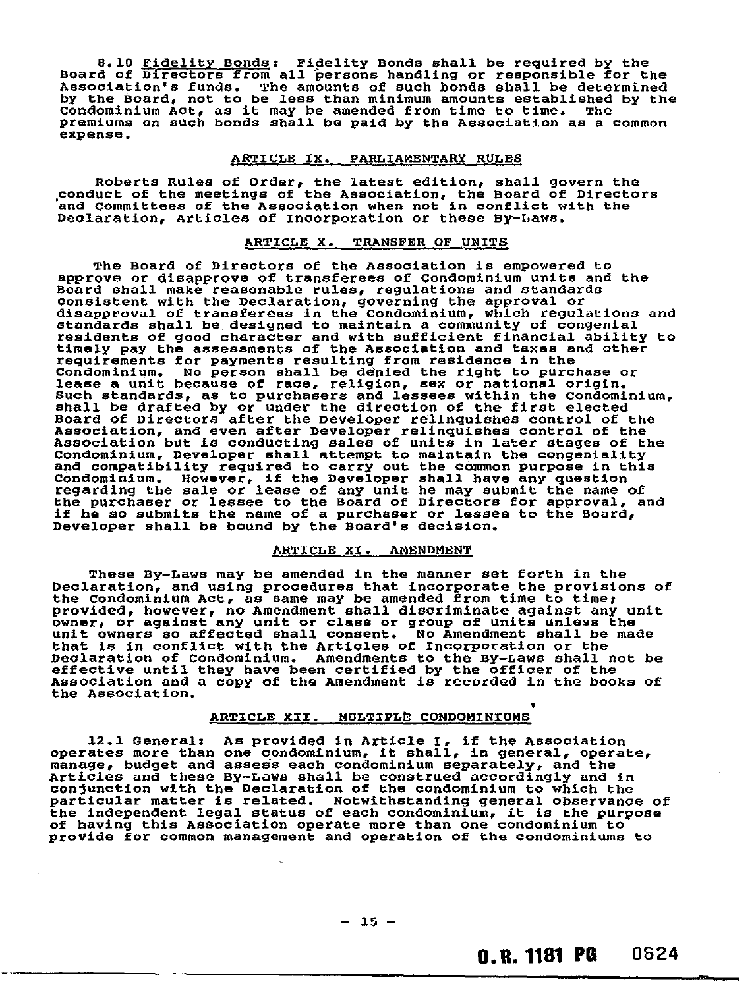8.10 Fidelity Bonds: Fidelity Bonds shall be required by the Board of Directors from all persons handling or responsible for the Association's funds. The amounts of such bonds shall be determined by the Board, not to be less than minimum amounts established by the Condominium Act, as it may be amended from time to time. The premiums on such bonds shall be paid by the Association as a common expense.

#### ARTICLE IX. PARLIAMENTARY RULES

Roberts Rules of Order, the latest edition, shall govern the .conduct of the meetings of the Association, the Board of Directors and Committees of the Association when not in conflict with the Declaration, Articles of Incorporation or these By-Laws.

#### ARTICLE X. TRANSFER OF UNITS

The Board of Directors of the Association is empowered to approve or disapprove of transferees of Condominium units and the Board shall make reasonable rules, regulations and standards consistent with the Declaration, governing the approval or disapproval of transferees in the Condominium, which regulations and standards shall be designed to maintain a community of congenial residents of good character and with sufficient financial ability to timely pay the assessments of the Association and taxes and other requirements for payments resulting from residence in the Condominium. No person shall be denied the right to purchase or lease a unit because of race, religion, sex or national origin. Such standards, as to purchasers and lessees within the Condominium, shall be drafted by or under the direction of the first elected Board of Directors after the Developer relinquishes control of the Association, and even after Developer relinquishes control of the Association but is conducting sales of units in later stages of the Condominium, Developer shall attempt to maintain the congeniality and compatibility required to carry out the common purpose in this Condominium. However, if the Developer shall have any question regarding the sale or lease of any unit he may submit the name of the purchaser or lessee to the Board of Directors for approval, and if he so submits the name of a purchaser or lessee to the Board, Developer shall be bound by the Board's decision.

#### ARTICLE XI. AMENDMENT

These By-Laws may be amended in the manner set forth in the Declaration, and using procedures that incorporate the provisions of the Condominium Act, as same may be amended from time to time: provided, however, no Amendment shall discriminate against any unit owner, or against any unit or class or group of units unless the unit owners so affected shall consent. No Amendment shall be made that is in conflict with the Articles of Incorporation or the Declaration of Condominium. Amendments to the By-Laws shall not be effective until they have been certified by the officer of the Association and a copy of the Amendment is recorded in the books of the Association.

#### ARTICLE XII. MULTIPLE CONDOMINIUMS

12.1 General: As provided in Article I, if the Association operates more than one condominium, it shall, in general, operate, manage, budget and assess each condominium separately, and the Articles and these By-Laws shall be construed accordingly and in conjunction with the Declaration of the condominium to which the particular matter is related. Notwithstanding general observance of the independent legal status of each condominium, it is the purpose of having this Association operate more than one condominium to provide for common management and operation of the condominiums to

## 0.0. 1181 PG 0524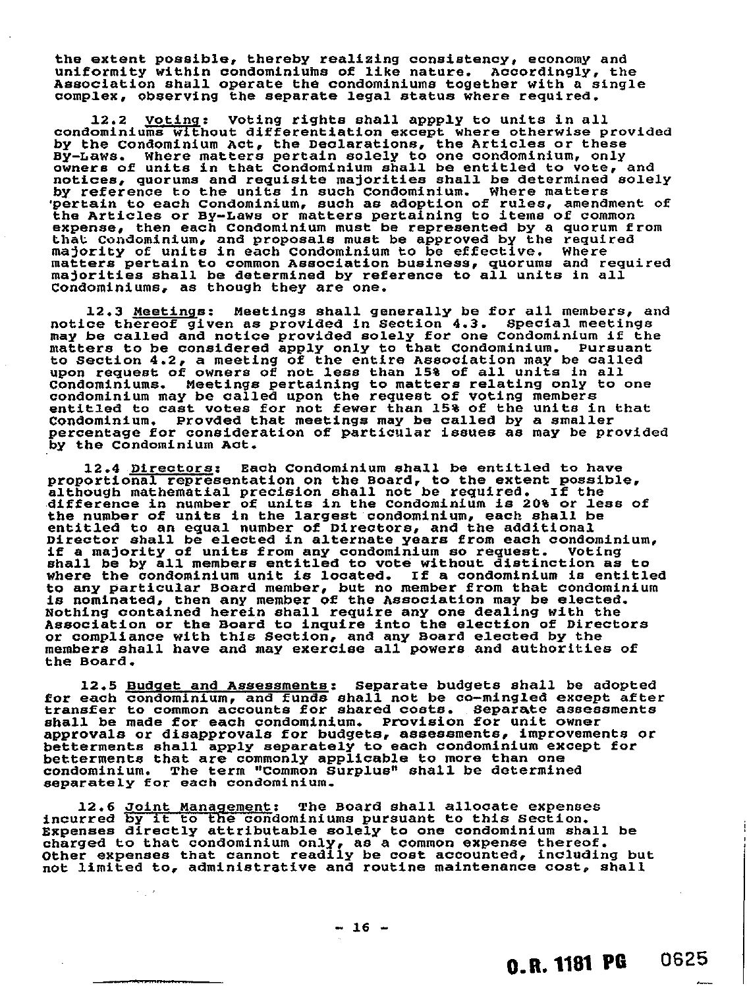the extent possible, thereby realizing consistency, economy and uniformity within condominiums of like nature. Accordingly, the Association shall operate the condominiums together with a single complex, observing the separate legal status where required.

12.2 Voting: Voting rights shall appply to units in all condominiums without differentiation except where otherwise provided by the Condominium Act, the Declarations, the Articles or these By-Laws. Where matters pertain solely to one condominium, only owners of units in that Condominium shall be entitled to vote, and notices, quorums and requisite majorities shall be determined solely by reference to the units in such Condominium. Where matters 'pertain to each Condominium, such as adoption of rules, amendment of the Articles or By-Laws or matters pertaining to items of common expense, then each Condominium must be represented by a quorum from that. Condominium, and proposals must be approved by the required majority of units in each Condominium to be effective. Where matters pertain to common Association business, quorums and required majorities shall be determined by reference to all units in all Condominiums, as though they are one.

12.3 Meetings: Meetings shall generally be for all members, and notice thereof given as provided in Section 4.3. Special meetings may be called and notice provided solely for one Condominium if the matters to be considered apply only to that Condominium. Pursuant to Section 4.2, a meeting of the entire Association may be called upon request of owners of not less than 15% of all units in all Condominiums. Meetings pertaining to matters relating only to one condominium may be called upon the request of voting members entitled to cast votes for not fewer than 15% of the units in that Condominium. Provded that meetings may be called by a smaller percentage for consideration of particular issues as may be provided by the Condominium Act.

12.4 Directors: Each Condominium shall be entitled to have proportional representation on the Board, to the extent possible, although mathematial precision shall not be required. If the difference in number of units in the Condominium is 20% or less of the number of units in the largest condominium, each shall be entitled to an equal number of Directors, and the additional Director shall be elected in alternate years from each condominium, if a majority of units from any condominium so request. Voting shall be by all members entitled to vote without distinction as to where the condominium unit is located. If a condominium is entitled to any particular Board member, but no member from that condominium is nominated, then any member of the Association may be elected. Nothing contained herein shall require any one dealing with the Association or the Board to inquire into the election of Directors or compliance with this Section, and any Board elected by the members shall have and may exercise all powers and authorities of the Board.

12.5 Budget and Assessments: Separate budgets shall be adopted for each condominium, and funds shall not be co-mingled except after transfer to common accounts for shared costs. Separate assessments shall be made for each condominium. Provision for unit owner approvals or disapprovals for budgets, assessments, improvements or betterments shall apply separately to each condominium except for betterments that are commonly applicable to more than one condominium. The term "Common Surplus" shall be determined separately for each condominium.

12.6 Joint Management: The Board shall allocate expenses incurred by it to the condominiums pursuant to this Section. Expenses directly attributable solely to one condominium shall be charged to that condominium only, as a common expense thereof. Other expenses that cannot readily be cost accounted, including but not limited to, administrative and routine maintenance cost, shall

 $- 16 -$